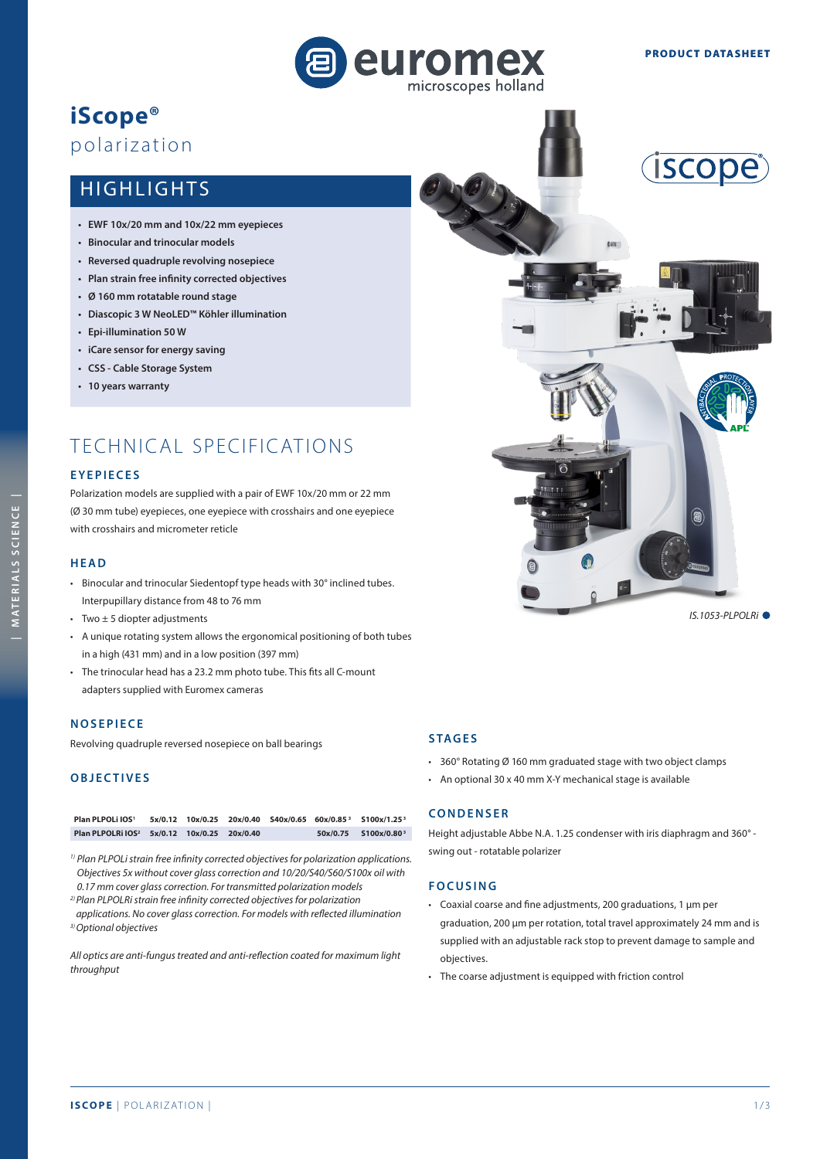

# **iScope®**  polarization

# HIGHLIGHTS

- **EWF 10x/20 mm and 10x/22 mm eyepieces**
- **Binocular and trinocular models**
- **Reversed quadruple revolving nosepiece**
- **Plan strain free infinity corrected objectives**
- **Ø 160 mm rotatable round stage**
- **Diascopic 3 W NeoLED™ Köhler illumination**
- **Epi-illumination 50 W**
- **iCare sensor for energy saving**
- **CSS Cable Storage System**
- **10 years warranty**

# TECHNICAL SPECIFICATIONS

#### **EYEPIECES**

Polarization models are supplied with a pair of EWF 10x/20 mm or 22 mm (Ø 30 mm tube) eyepieces, one eyepiece with crosshairs and one eyepiece with crosshairs and micrometer reticle

#### **HEAD**

- Binocular and trinocular Siedentopf type heads with 30° inclined tubes. Interpupillary distance from 48 to 76 mm
- Two  $\pm$  5 diopter adjustments
- A unique rotating system allows the ergonomical positioning of both tubes in a high (431 mm) and in a low position (397 mm)
- The trinocular head has a 23.2 mm photo tube. This fits all C-mount adapters supplied with Euromex cameras

#### **NOSEPIECE**

Revolving quadruple reversed nosepiece on ball bearings

# **OBJECTIVES**

| Plan PLPOLi IOS1                                        |  |  | 5x/0.12 10x/0.25 20x/0.40 S40x/0.65 60x/0.85 <sup>3</sup> S100x/1.25 <sup>3</sup> |
|---------------------------------------------------------|--|--|-----------------------------------------------------------------------------------|
| Plan PLPOLRi IOS <sup>2</sup> 5x/0.12 10x/0.25 20x/0.40 |  |  | $50x/0.75$ $5100x/0.80^3$                                                         |

*1) Plan PLPOLi strain free infinity corrected objectives for polarization applications. Objectives 5x without cover glass correction and 10/20/S40/S60/S100x oil with 0.17 mm cover glass correction. For transmitted polarization models*

*2) Plan PLPOLRi strain free infinity corrected objectives for polarization* 

*applications. No cover glass correction. For models with reflected illumination 3) Optional objectives*

*All optics are anti-fungus treated and anti-reflection coated for maximum light throughput*





- 360° Rotating Ø 160 mm graduated stage with two object clamps
- An optional 30 x 40 mm X-Y mechanical stage is available

## **CONDENSER**

Height adjustable Abbe N.A. 1.25 condenser with iris diaphragm and 360° swing out - rotatable polarizer

#### **FOCUSING**

- Coaxial coarse and fine adjustments, 200 graduations, 1 μm per graduation, 200 μm per rotation, total travel approximately 24 mm and is supplied with an adjustable rack stop to prevent damage to sample and objectives.
- The coarse adjustment is equipped with friction control

*IS.1053-PLPOLRi*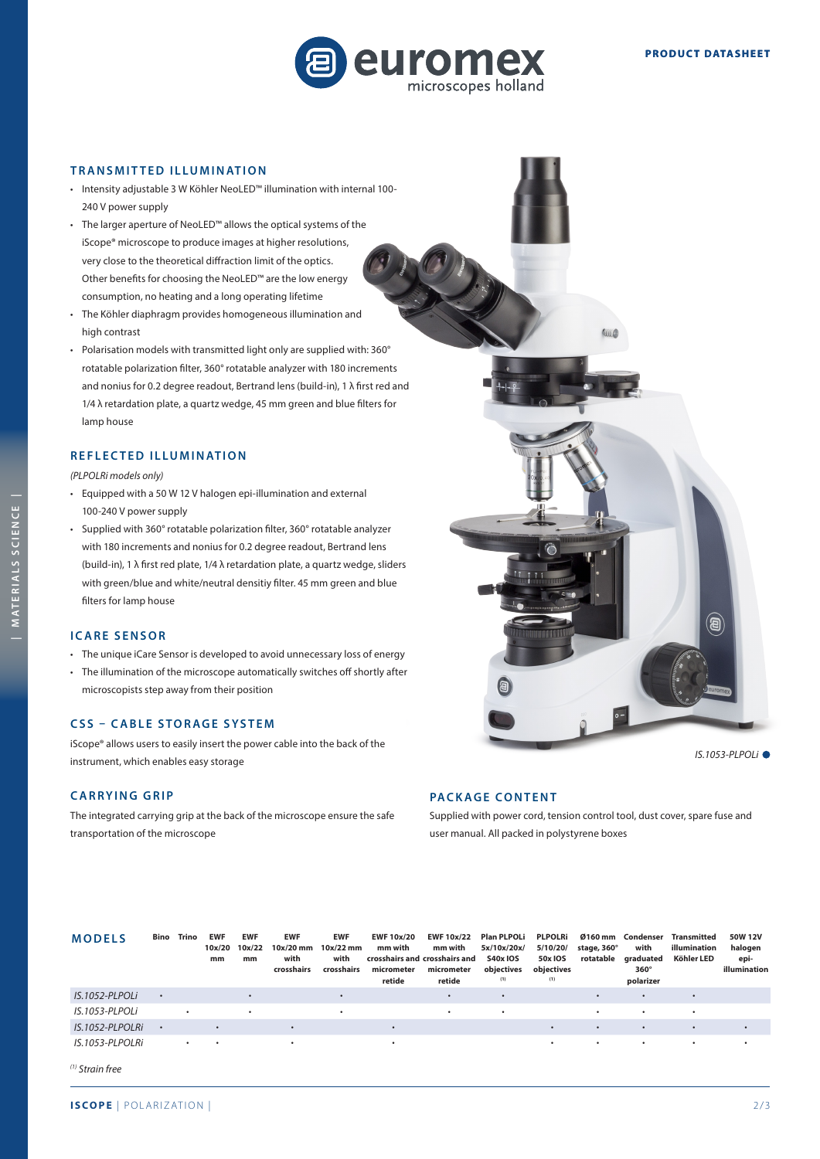

#### **TRANSMIT TED ILLUMINATION**

- Intensity adjustable 3 W Köhler NeoLED™ illumination with internal 100- 240 V power supply
- The larger aperture of NeoLED™ allows the optical systems of the iScope® microscope to produce images at higher resolutions, very close to the theoretical diffraction limit of the optics. Other benefits for choosing the NeoLED™ are the low energy consumption, no heating and a long operating lifetime • The Köhler diaphragm provides homogeneous illumination and
- high contrast
- Polarisation models with transmitted light only are supplied with: 360° rotatable polarization filter, 360° rotatable analyzer with 180 increments and nonius for 0.2 degree readout, Bertrand lens (build-in), 1 λ first red and 1/4 λ retardation plate, a quartz wedge, 45 mm green and blue filters for lamp house

#### **REFLECTED ILLUMINATION**

*(PLPOLRi models only)*

- Equipped with a 50 W 12 V halogen epi-illumination and external 100-240 V power supply
- Supplied with 360° rotatable polarization filter, 360° rotatable analyzer with 180 increments and nonius for 0.2 degree readout, Bertrand lens (build-in), 1 λ first red plate, 1/4 λ retardation plate, a quartz wedge, sliders with green/blue and white/neutral densitiy filter. 45 mm green and blue filters for lamp house

### **ICARE SENSOR**

- The unique iCare Sensor is developed to avoid unnecessary loss of energy
- The illumination of the microscope automatically switches off shortly after microscopists step away from their position

### **CSS – CABLE STORAGE SYSTEM**

iScope® allows users to easily insert the power cable into the back of the instrument, which enables easy storage

#### **CARRYING GRIP**

The integrated carrying grip at the back of the microscope ensure the safe transportation of the microscope

#### **PACKAGE CONTENT**

Supplied with power cord, tension control tool, dust cover, spare fuse and user manual. All packed in polystyrene boxes

| <b>MODELS</b>               |           | <b>Bino</b> Trino | <b>EWF</b><br>10x/20<br>mm | <b>EWF</b><br>10x/22<br>mm | <b>EWF</b><br>$10x/20$ mm<br>with<br>crosshairs | EWF<br>$10x/22$ mm<br>with<br>crosshairs | <b>EWF 10x/20</b><br>mm with<br>crosshairs and crosshairs and<br>micrometer<br>retide | <b>EWF 10x/22</b><br>mm with<br>micrometer<br>retide | <b>Plan PLPOLi</b><br>5x/10x/20x/<br><b>S40x IOS</b><br>objectives<br>(1) | <b>PLPOLRi</b><br>5/10/20/<br>50x IOS<br>objectives<br>(1) | stage, 360°<br>rotatable | Ø160 mm Condenser<br>with<br>graduated<br>$360^\circ$<br>polarizer | Transmitted<br>illumination<br>Köhler LED | 50W 12V<br>halogen<br>epi-<br>illumination |
|-----------------------------|-----------|-------------------|----------------------------|----------------------------|-------------------------------------------------|------------------------------------------|---------------------------------------------------------------------------------------|------------------------------------------------------|---------------------------------------------------------------------------|------------------------------------------------------------|--------------------------|--------------------------------------------------------------------|-------------------------------------------|--------------------------------------------|
| IS.1052-PLPOLI              | $\bullet$ |                   |                            |                            |                                                 |                                          |                                                                                       | $\bullet$                                            |                                                                           |                                                            | $\bullet$                | $\bullet$                                                          |                                           |                                            |
| IS.1053-PLPOLI              |           | $\bullet$         |                            | $\bullet$                  |                                                 | ٠                                        |                                                                                       | $\bullet$                                            | $\bullet$                                                                 |                                                            | ٠                        | $\bullet$                                                          | $\bullet$                                 |                                            |
| IS.1052-PLPOLRI             | $\bullet$ |                   | $\bullet$                  |                            |                                                 |                                          | $\bullet$                                                                             |                                                      |                                                                           | $\bullet$                                                  | $\bullet$                | $\bullet$                                                          | $\bullet$                                 |                                            |
| IS.1053-PLPOLRi<br>$\cdots$ |           | $\bullet$         | $\bullet$                  |                            | $\bullet$                                       |                                          | $\bullet$                                                                             |                                                      |                                                                           | $\bullet$                                                  | $\bullet$                | $\bullet$                                                          | $\bullet$                                 |                                            |

*(1) Strain free*